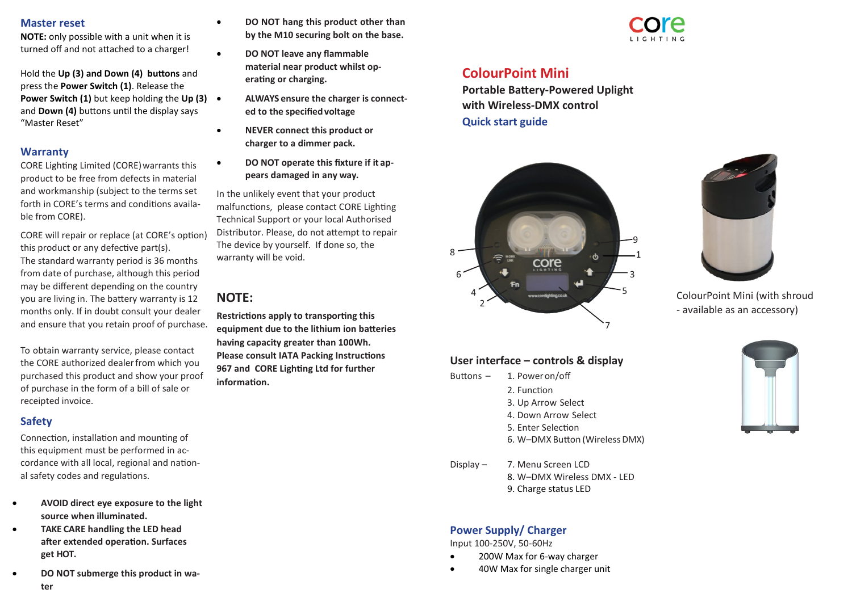#### **Master reset**

**NOTE:** only possible with a unit when it is turned off and not attached to a charger!

Hold the **Up (3) and Down (4) buttons** and press the **Power Switch (1)**. Release the **Power Switch (1)** but keep holding the **Up (3)**  and **Down (4)** buttons until the display says "Master Reset"

#### **Warranty**

CORE Lighting Limited (CORE)warrants this product to be free from defects in material and workmanship (subject to the terms set forth in CORE's terms and conditions available from CORE).

CORE will repair or replace (at CORE's option) this product or any defective part(s). The standard warranty period is 36 months from date of purchase, although this period may be different depending on the country you are living in. The battery warranty is 12 months only. If in doubt consult your dealer and ensure that you retain proof of purchase.

To obtain warranty service, please contact the CORE authorized dealer from which you purchased this product and show your proof of purchase in the form of a bill of sale or receipted invoice.

#### **Safety**

Connection, installation and mounting of this equipment must be performed in accordance with all local, regional and national safety codes and regulations.

- **AVOID direct eye exposure to the light source when illuminated.**
- **TAKE CARE handling the LED head after extended operation. Surfaces get HOT.**
- **DO NOT submerge this product in water**
- **DO NOT hang this product other than by the M10 securing bolt on the base.**
- **DO NOT leave any flammable material near product whilst operating or charging.**
	- **ALWAYS ensure the charger is connected to the specifiedvoltage**
- **NEVER connect this product or charger to a dimmer pack.**
	- **DO NOT operate this fixture if it appears damaged in any way.**

In the unlikely event that your product malfunctions, please contact CORE Lighting Technical Support or your local Authorised Distributor. Please, do not attempt to repair The device by yourself. If done so, the warranty will be void.

# **NOTE:**

**Restrictions apply to transporting this equipment due to the lithium ion batteries having capacity greater than 100Wh. Please consult IATA Packing Instructions 967 and CORE Lighting Ltd for further information.**



# **ColourPoint Mini**

**Portable Battery-Powered Uplight with Wireless-DMX control Quick start guide**



# **User interface – controls & display**

- Buttons 1. Poweron/off 2. Function 3. Up Arrow Select 4. Down Arrow Select 5. Enter Selection 6. W–DMX Button (WirelessDMX)
- Display 7. Menu Screen LCD 8. W–DMX Wireless DMX - LED 9. Charge status LED

# **Power Supply/ Charger**

Input 100-250V, 50-60Hz

- 200W Max for 6-way charger
- 40W Max for single charger unit



ColourPoint Mini (with shroud - available as an accessory)